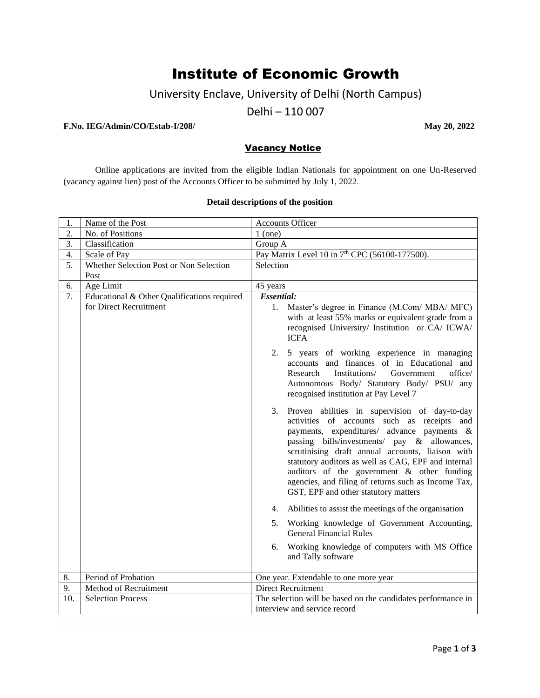# Institute of Economic Growth

University Enclave, University of Delhi (North Campus)

Delhi – 110 007

#### **F.No. IEG/Admin/CO/Estab-I/208/ May 20, 2022**

### Vacancy Notice

Online applications are invited from the eligible Indian Nationals for appointment on one Un-Reserved (vacancy against lien) post of the Accounts Officer to be submitted by July 1, 2022.

#### **Detail descriptions of the position**

| 1.               | Name of the Post                            | Accounts Officer                                                                                                                                                                                                                                                                                                                                                                                                                                                                                                    |
|------------------|---------------------------------------------|---------------------------------------------------------------------------------------------------------------------------------------------------------------------------------------------------------------------------------------------------------------------------------------------------------------------------------------------------------------------------------------------------------------------------------------------------------------------------------------------------------------------|
| 2.               | No. of Positions                            | $1$ (one)                                                                                                                                                                                                                                                                                                                                                                                                                                                                                                           |
| 3.               | Classification                              | Group A                                                                                                                                                                                                                                                                                                                                                                                                                                                                                                             |
| $\overline{4}$ . | Scale of Pay                                | Pay Matrix Level 10 in 7 <sup>th</sup> CPC (56100-177500).                                                                                                                                                                                                                                                                                                                                                                                                                                                          |
| 5.               | Whether Selection Post or Non Selection     | Selection                                                                                                                                                                                                                                                                                                                                                                                                                                                                                                           |
|                  | Post                                        |                                                                                                                                                                                                                                                                                                                                                                                                                                                                                                                     |
| 6.               | Age Limit                                   | 45 years                                                                                                                                                                                                                                                                                                                                                                                                                                                                                                            |
| 7.               | Educational & Other Qualifications required | <b>Essential:</b>                                                                                                                                                                                                                                                                                                                                                                                                                                                                                                   |
|                  | for Direct Recruitment                      | 1.<br>Master's degree in Finance (M.Com/ MBA/ MFC)<br>with at least 55% marks or equivalent grade from a<br>recognised University/ Institution or CA/ICWA/<br><b>ICFA</b>                                                                                                                                                                                                                                                                                                                                           |
|                  |                                             | 2. 5 years of working experience in managing<br>accounts and finances of in Educational and<br>Institutions/<br>office/<br>Government<br>Research<br>Autonomous Body/ Statutory Body/ PSU/ any<br>recognised institution at Pay Level 7                                                                                                                                                                                                                                                                             |
|                  |                                             | 3. Proven abilities in supervision of day-to-day<br>activities of accounts such as receipts and<br>payments, expenditures/ advance payments &<br>passing bills/investments/ pay & allowances,<br>scrutinising draft annual accounts, liaison with<br>statutory auditors as well as CAG, EPF and internal<br>auditors of the government & other funding<br>agencies, and filing of returns such as Income Tax,<br>GST, EPF and other statutory matters<br>Abilities to assist the meetings of the organisation<br>4. |
|                  |                                             | 5. Working knowledge of Government Accounting,<br><b>General Financial Rules</b>                                                                                                                                                                                                                                                                                                                                                                                                                                    |
|                  |                                             | Working knowledge of computers with MS Office<br>6.<br>and Tally software                                                                                                                                                                                                                                                                                                                                                                                                                                           |
| 8.               | Period of Probation                         | One year. Extendable to one more year                                                                                                                                                                                                                                                                                                                                                                                                                                                                               |
| 9.               | Method of Recruitment                       | <b>Direct Recruitment</b>                                                                                                                                                                                                                                                                                                                                                                                                                                                                                           |
| 10.              | <b>Selection Process</b>                    | The selection will be based on the candidates performance in<br>interview and service record                                                                                                                                                                                                                                                                                                                                                                                                                        |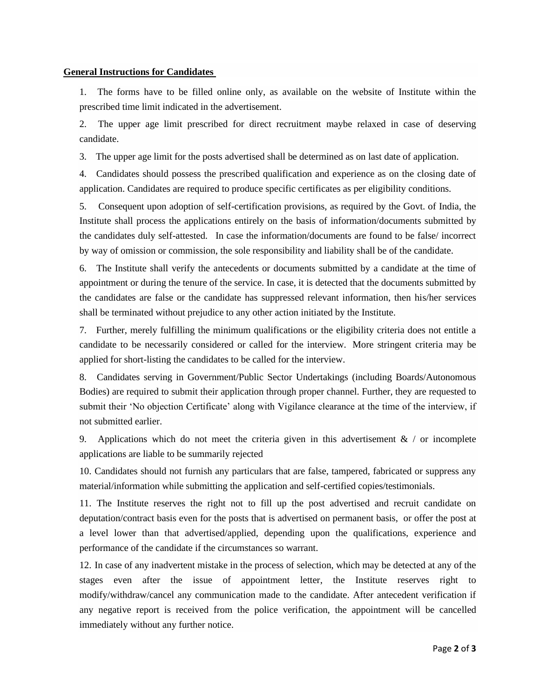#### **General Instructions for Candidates**

1. The forms have to be filled online only, as available on the website of Institute within the prescribed time limit indicated in the advertisement.

2. The upper age limit prescribed for direct recruitment maybe relaxed in case of deserving candidate.

3. The upper age limit for the posts advertised shall be determined as on last date of application.

4. Candidates should possess the prescribed qualification and experience as on the closing date of application. Candidates are required to produce specific certificates as per eligibility conditions.

5. Consequent upon adoption of self-certification provisions, as required by the Govt. of India, the Institute shall process the applications entirely on the basis of information/documents submitted by the candidates duly self-attested. In case the information/documents are found to be false/ incorrect by way of omission or commission, the sole responsibility and liability shall be of the candidate.

6. The Institute shall verify the antecedents or documents submitted by a candidate at the time of appointment or during the tenure of the service. In case, it is detected that the documents submitted by the candidates are false or the candidate has suppressed relevant information, then his/her services shall be terminated without prejudice to any other action initiated by the Institute.

7. Further, merely fulfilling the minimum qualifications or the eligibility criteria does not entitle a candidate to be necessarily considered or called for the interview. More stringent criteria may be applied for short-listing the candidates to be called for the interview.

8. Candidates serving in Government/Public Sector Undertakings (including Boards/Autonomous Bodies) are required to submit their application through proper channel. Further, they are requested to submit their 'No objection Certificate' along with Vigilance clearance at the time of the interview, if not submitted earlier.

9. Applications which do not meet the criteria given in this advertisement  $\&$  / or incomplete applications are liable to be summarily rejected

10. Candidates should not furnish any particulars that are false, tampered, fabricated or suppress any material/information while submitting the application and self-certified copies/testimonials.

11. The Institute reserves the right not to fill up the post advertised and recruit candidate on deputation/contract basis even for the posts that is advertised on permanent basis, or offer the post at a level lower than that advertised/applied, depending upon the qualifications, experience and performance of the candidate if the circumstances so warrant.

12. In case of any inadvertent mistake in the process of selection, which may be detected at any of the stages even after the issue of appointment letter, the Institute reserves right to modify/withdraw/cancel any communication made to the candidate. After antecedent verification if any negative report is received from the police verification, the appointment will be cancelled immediately without any further notice.